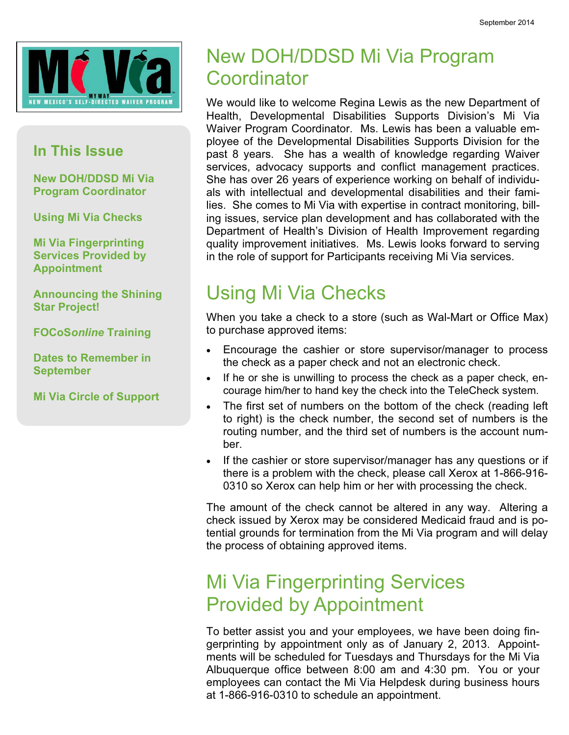

#### In This Issue

New DOH/DDSD Mi Via Program Coordinator

Using Mi Via Checks

Mi Via Fingerprinting Services Provided by Appointment

Announcing the Shining Star Project!

FOCoSonline Training

Dates to Remember in September

Mi Via Circle of Support

#### New DOH/DDSD Mi Via Program **Coordinator**

We would like to welcome Regina Lewis as the new Department of Health, Developmental Disabilities Supports Division's Mi Via Waiver Program Coordinator. Ms. Lewis has been a valuable employee of the Developmental Disabilities Supports Division for the past 8 years. She has a wealth of knowledge regarding Waiver services, advocacy supports and conflict management practices. She has over 26 years of experience working on behalf of individuals with intellectual and developmental disabilities and their families. She comes to Mi Via with expertise in contract monitoring, billing issues, service plan development and has collaborated with the Department of Health's Division of Health Improvement regarding quality improvement initiatives. Ms. Lewis looks forward to serving in the role of support for Participants receiving Mi Via services.

#### Using Mi Via Checks

When you take a check to a store (such as Wal-Mart or Office Max) to purchase approved items:

- Encourage the cashier or store supervisor/manager to process the check as a paper check and not an electronic check.
- If he or she is unwilling to process the check as a paper check, encourage him/her to hand key the check into the TeleCheck system.
- The first set of numbers on the bottom of the check (reading left to right) is the check number, the second set of numbers is the routing number, and the third set of numbers is the account number.
- If the cashier or store supervisor/manager has any questions or if there is a problem with the check, please call Xerox at 1-866-916- 0310 so Xerox can help him or her with processing the check.

The amount of the check cannot be altered in any way. Altering a check issued by Xerox may be considered Medicaid fraud and is potential grounds for termination from the Mi Via program and will delay the process of obtaining approved items.

#### Mi Via Fingerprinting Services Provided by Appointment

To better assist you and your employees, we have been doing fingerprinting by appointment only as of January 2, 2013. Appointments will be scheduled for Tuesdays and Thursdays for the Mi Via Albuquerque office between 8:00 am and 4:30 pm. You or your employees can contact the Mi Via Helpdesk during business hours at 1-866-916-0310 to schedule an appointment.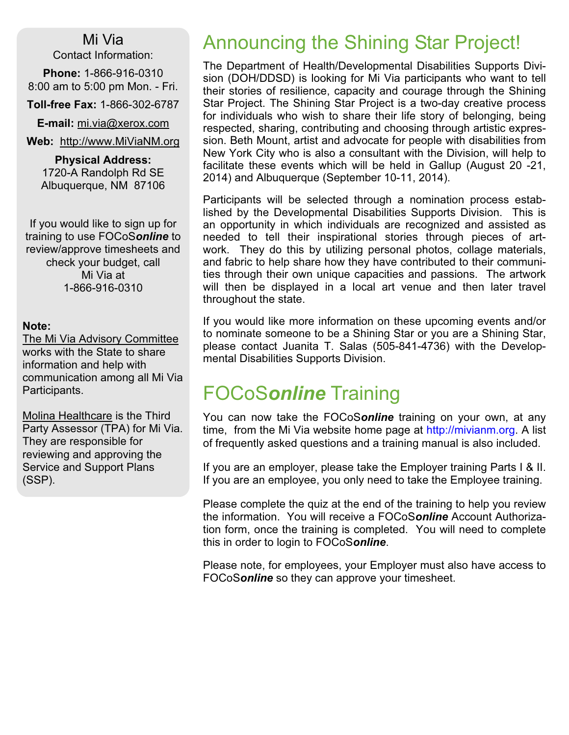Mi Via Contact Information:

Phone: 1-866-916-0310 8:00 am to 5:00 pm Mon. - Fri.

Toll-free Fax: 1-866-302-6787

E-mail: mi.via@xerox.com

Web: http://www.MiViaNM.org

Physical Address: 1720-A Randolph Rd SE Albuquerque, NM 87106

If you would like to sign up for training to use FOCoSonline to review/approve timesheets and check your budget, call Mi Via at 1-866-916-0310

#### Note:

The Mi Via Advisory Committee works with the State to share information and help with communication among all Mi Via Participants.

Molina Healthcare is the Third Party Assessor (TPA) for Mi Via. They are responsible for reviewing and approving the Service and Support Plans (SSP).

#### Announcing the Shining Star Project!

The Department of Health/Developmental Disabilities Supports Division (DOH/DDSD) is looking for Mi Via participants who want to tell their stories of resilience, capacity and courage through the Shining Star Project. The Shining Star Project is a two-day creative process for individuals who wish to share their life story of belonging, being respected, sharing, contributing and choosing through artistic expression. Beth Mount, artist and advocate for people with disabilities from New York City who is also a consultant with the Division, will help to facilitate these events which will be held in Gallup (August 20 -21, 2014) and Albuquerque (September 10-11, 2014).

Participants will be selected through a nomination process established by the Developmental Disabilities Supports Division. This is an opportunity in which individuals are recognized and assisted as needed to tell their inspirational stories through pieces of artwork. They do this by utilizing personal photos, collage materials, and fabric to help share how they have contributed to their communities through their own unique capacities and passions. The artwork will then be displayed in a local art venue and then later travel throughout the state.

If you would like more information on these upcoming events and/or to nominate someone to be a Shining Star or you are a Shining Star, please contact Juanita T. Salas (505-841-4736) with the Developmental Disabilities Supports Division.

#### FOCoSonline Training

You can now take the FOCoSonline training on your own, at any time, from the Mi Via website home page at http://mivianm.org. A list of frequently asked questions and a training manual is also included.

If you are an employer, please take the Employer training Parts I & II. If you are an employee, you only need to take the Employee training.

Please complete the quiz at the end of the training to help you review the information. You will receive a FOCoSonline Account Authorization form, once the training is completed. You will need to complete this in order to login to FOCoSonline.

Please note, for employees, your Employer must also have access to FOCoSonline so they can approve your timesheet.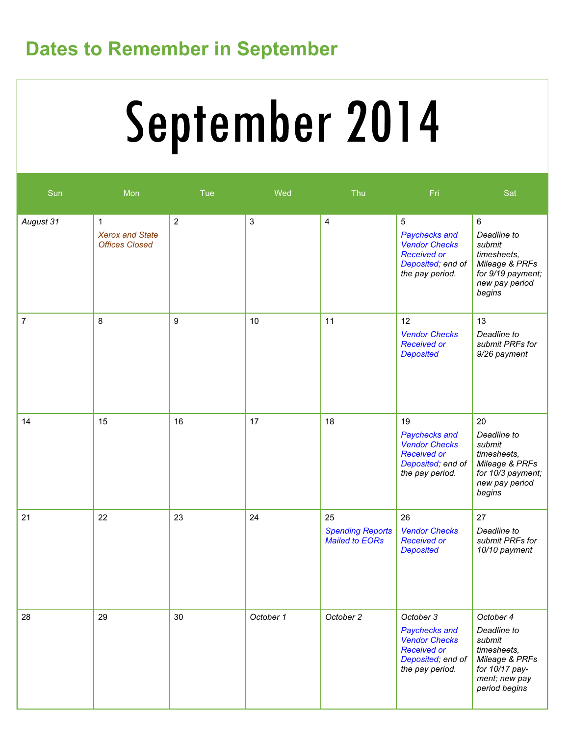### Dates to Remember in September

# September 2014

| Sun            | Mon                                                             | Tue        | Wed            | Thu                                                    | Fri                                                                                                              | Sat                                                                                                                     |
|----------------|-----------------------------------------------------------------|------------|----------------|--------------------------------------------------------|------------------------------------------------------------------------------------------------------------------|-------------------------------------------------------------------------------------------------------------------------|
| August 31      | $\mathbf{1}$<br><b>Xerox and State</b><br><b>Offices Closed</b> | $\sqrt{2}$ | $\mathfrak{S}$ | $\overline{\mathbf{4}}$                                | 5<br>Paychecks and<br><b>Vendor Checks</b><br><b>Received or</b><br>Deposited; end of<br>the pay period.         | $\,6\,$<br>Deadline to<br>submit<br>timesheets,<br>Mileage & PRFs<br>for 9/19 payment;<br>new pay period<br>begins      |
| $\overline{7}$ | 8                                                               | 9          | 10             | 11                                                     | 12<br><b>Vendor Checks</b><br><b>Received or</b><br><b>Deposited</b>                                             | 13<br>Deadline to<br>submit PRFs for<br>9/26 payment                                                                    |
| 14             | 15                                                              | 16         | 17             | 18                                                     | 19<br>Paychecks and<br><b>Vendor Checks</b><br><b>Received or</b><br>Deposited; end of<br>the pay period.        | 20<br>Deadline to<br>submit<br>timesheets,<br>Mileage & PRFs<br>for 10/3 payment;<br>new pay period<br>begins           |
| 21             | 22                                                              | 23         | 24             | 25<br><b>Spending Reports</b><br><b>Mailed to EORs</b> | 26<br><b>Vendor Checks</b><br><b>Received or</b><br><b>Deposited</b>                                             | 27<br>Deadline to<br>submit PRFs for<br>10/10 payment                                                                   |
| 28             | 29                                                              | 30         | October 1      | October 2                                              | October 3<br>Paychecks and<br><b>Vendor Checks</b><br><b>Received or</b><br>Deposited; end of<br>the pay period. | October 4<br>Deadline to<br>submit<br>timesheets,<br>Mileage & PRFs<br>for 10/17 pay-<br>ment; new pay<br>period begins |